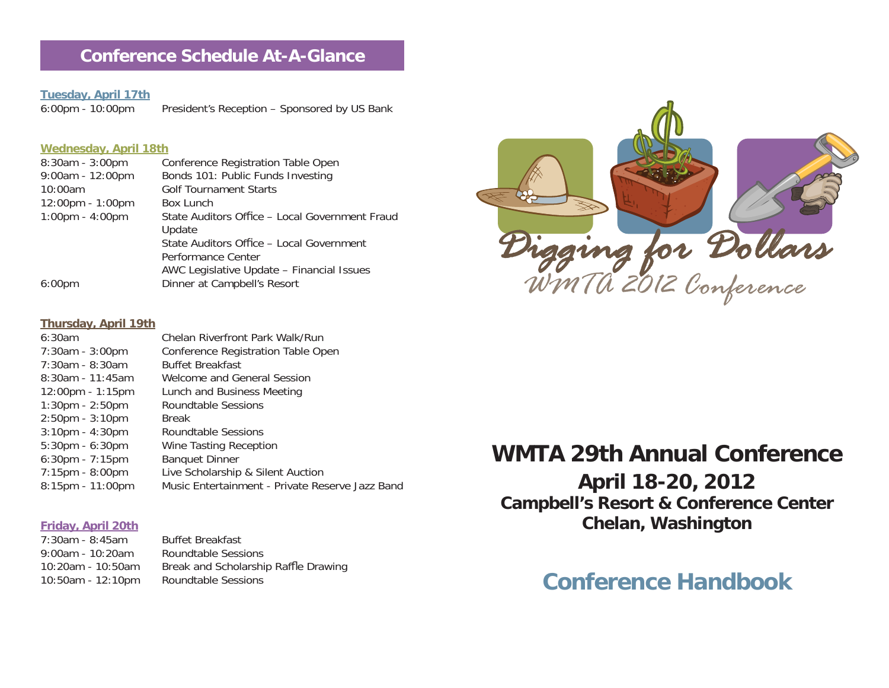# **Conference Schedule At-A-Glance**

# **Tuesday, April 17th**

President's Reception – Sponsored by US Bank

### **Wednesday, April 18th**

| $8:30am - 3:00pm$                  | Conference Registration Table Open             |
|------------------------------------|------------------------------------------------|
| $9:00am - 12:00pm$                 | Bonds 101: Public Funds Investing              |
| 10:00am                            | <b>Golf Tournament Starts</b>                  |
| $12:00 \text{pm} - 1:00 \text{pm}$ | <b>Box Lunch</b>                               |
| $1:00 \text{pm} - 4:00 \text{pm}$  | State Auditors Office - Local Government Fraud |
|                                    | Update                                         |
|                                    | State Auditors Office - Local Government       |
|                                    | Performance Center                             |
|                                    | AWC Legislative Update - Financial Issues      |
| $6:00 \text{pm}$                   | Dinner at Campbell's Resort                    |
|                                    |                                                |



### **Thursday, April 19th**

| 6:30am                             | Chelan Riverfront Park Walk/Run                 |
|------------------------------------|-------------------------------------------------|
| 7:30am - 3:00pm                    | Conference Registration Table Open              |
| $7:30$ am - 8:30am                 | <b>Buffet Breakfast</b>                         |
| $8:30$ am - 11:45am                | Welcome and General Session                     |
| $12:00 \text{pm} - 1:15 \text{pm}$ | Lunch and Business Meeting                      |
| $1:30 \text{pm} - 2:50 \text{pm}$  | Roundtable Sessions                             |
| $2:50$ pm - $3:10$ pm              | <b>Break</b>                                    |
| $3:10$ pm - $4:30$ pm              | Roundtable Sessions                             |
| $5:30$ pm - $6:30$ pm              | Wine Tasting Reception                          |
| 6:30pm - 7:15pm                    | <b>Banquet Dinner</b>                           |
| $7:15 \text{pm} - 8:00 \text{pm}$  | Live Scholarship & Silent Auction               |
| 8:15pm - 11:00pm                   | Music Entertainment - Private Reserve Jazz Band |
|                                    |                                                 |

### **Friday, April 20th**

| $7:30$ am - 8:45am   | <b>Buffet Breakfast</b>              |
|----------------------|--------------------------------------|
| $9:00$ am - 10:20am  | Roundtable Sessions                  |
| $10:20$ am - 10:50am | Break and Scholarship Raffle Drawing |
| 10:50am - 12:10pm    | Roundtable Sessions                  |

# **WMTA 29th Annual Conference**

**April 18-20, 2012 Campbell's Resort & Conference Center Chelan, Washington**

# **Conference Handbook**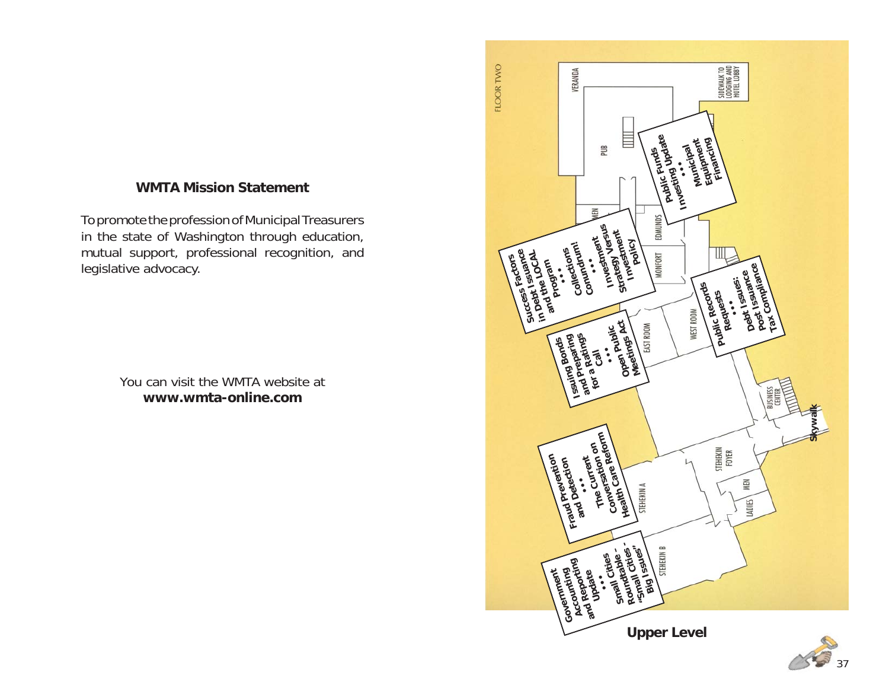# **WMTA Mission Statement**

To promote the profession of Municipal Treasurers in the state of Washington through education, mutual support, professional recognition, and legislative advocacy.

> You can visit the WMTA website at**www.wmta-online.com**

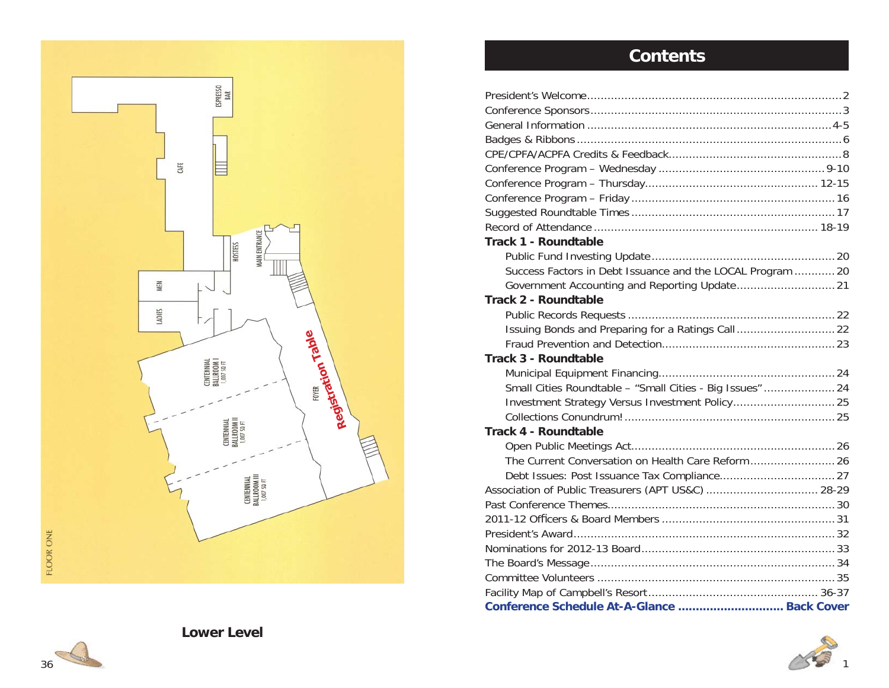

# **Contents**

| Conference Schedule At-A-Glance  Back Cover                |  |
|------------------------------------------------------------|--|
|                                                            |  |
|                                                            |  |
|                                                            |  |
|                                                            |  |
|                                                            |  |
|                                                            |  |
| Association of Public Treasurers (APT US&C)  28-29         |  |
|                                                            |  |
|                                                            |  |
|                                                            |  |
| <b>Track 4 - Roundtable</b>                                |  |
|                                                            |  |
|                                                            |  |
| Small Cities Roundtable - "Small Cities - Big Issues"  24  |  |
|                                                            |  |
| <b>Track 3 - Roundtable</b>                                |  |
|                                                            |  |
| Issuing Bonds and Preparing for a Ratings Call 22          |  |
|                                                            |  |
| Track 2 - Roundtable                                       |  |
| Government Accounting and Reporting Update 21              |  |
| Success Factors in Debt Issuance and the LOCAL Program  20 |  |
|                                                            |  |
| <b>Track 1 - Roundtable</b>                                |  |
|                                                            |  |
|                                                            |  |
|                                                            |  |
|                                                            |  |
|                                                            |  |
|                                                            |  |
|                                                            |  |
|                                                            |  |
|                                                            |  |
|                                                            |  |



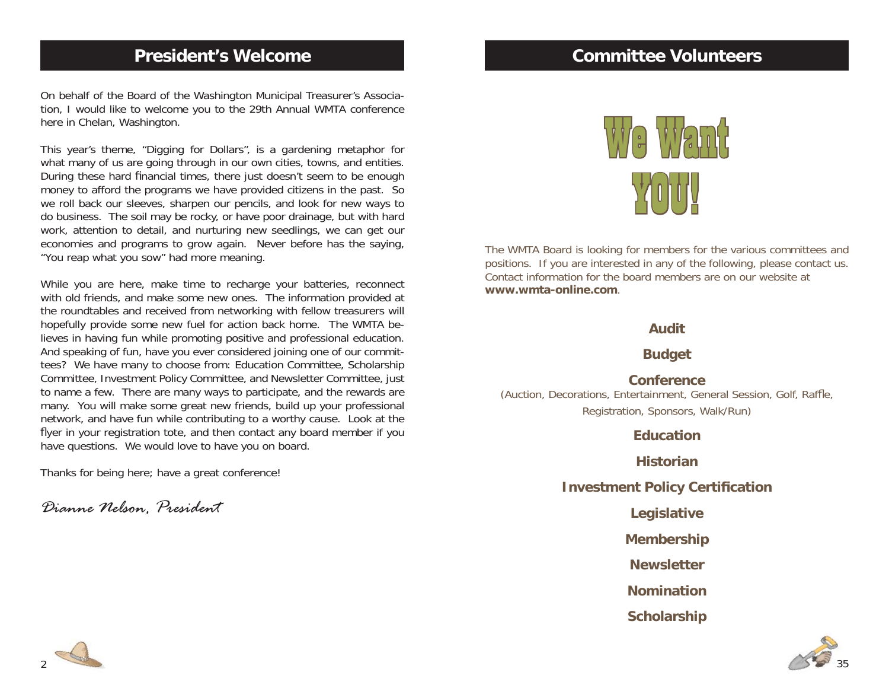# **President's Welcome**

On behalf of the Board of the Washington Municipal Treasurer's Association, I would like to welcome you to the 29th Annual WMTA conference here in Chelan, Washington.

This year's theme, "Digging for Dollars", is a gardening metaphor for what many of us are going through in our own cities, towns, and entities. During these hard financial times, there just doesn't seem to be enough money to afford the programs we have provided citizens in the past. So we roll back our sleeves, sharpen our pencils, and look for new ways to do business. The soil may be rocky, or have poor drainage, but with hard work, attention to detail, and nurturing new seedlings, we can get our economies and programs to grow again. Never before has the saying, "You reap what you sow" had more meaning.

While you are here, make time to recharge your batteries, reconnect with old friends, and make some new ones. The information provided at the roundtables and received from networking with fellow treasurers will hopefully provide some new fuel for action back home. The WMTA believes in having fun while promoting positive and professional education. And speaking of fun, have you ever considered joining one of our committees? We have many to choose from: Education Committee, Scholarship Committee, Investment Policy Committee, and Newsletter Committee, just to name a few. There are many ways to participate, and the rewards are many. You will make some great new friends, build up your professional network, and have fun while contributing to a worthy cause. Look at the flyer in your registration tote, and then contact any board member if you have questions. We would love to have you on board.

Thanks for being here; have a great conference!

*Dianne Nelson, President*

# **Committee Volunteers**



The WMTA Board is looking for members for the various committees and positions. If you are interested in any of the following, please contact us. Contact information for the board members are on our website at**www.wmta-online.com**.

### **Audit**

**Budget**

**Conference**

(Auction, Decorations, Entertainment, General Session, Golf, Raffle, Registration, Sponsors, Walk/Run)

### **Education**

**Historian**

**Investment Policy Certification** 

**Legislative**

**Membership**

**Newsletter**

**Nomination**

**Scholarship**



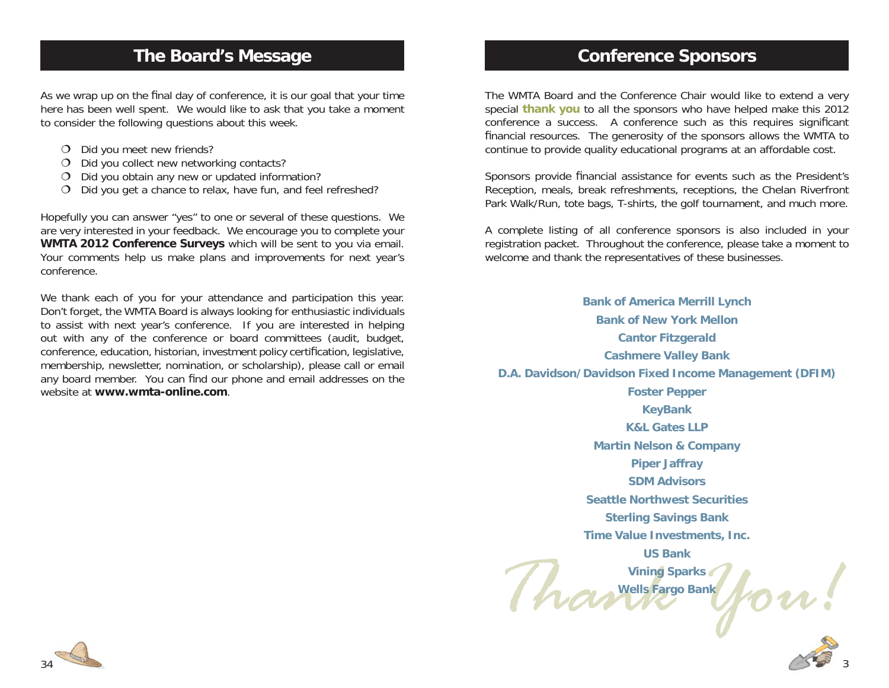# **The Board's Message**

As we wrap up on the final day of conference, it is our goal that your time here has been well spent. We would like to ask that you take a moment to consider the following questions about this week.

- O Did you meet new friends?
- O Did you collect new networking contacts?
- $O$  Did you obtain any new or updated information?
- O Did you get a chance to relax, have fun, and feel refreshed?

Hopefully you can answer "yes" to one or several of these questions. We are very interested in your feedback. We encourage you to complete your **WMTA 2012 Conference Surveys** which will be sent to you via email. Your comments help us make plans and improvements for next year's conference.

We thank each of you for your attendance and participation this year. Don't forget, the WMTA Board is always looking for enthusiastic individuals to assist with next year's conference. If you are interested in helping out with any of the conference or board committees (audit, budget, conference, education, historian, investment policy certification, legislative, membership, newsletter, nomination, or scholarship), please call or email any board member. You can find our phone and email addresses on the website at **www.wmta-online.com**.

# **Conference Sponsors**

The WMTA Board and the Conference Chair would like to extend a very special **thank you** to all the sponsors who have helped make this 2012 conference a success. A conference such as this requires significant financial resources. The generosity of the sponsors allows the WMTA to continue to provide quality educational programs at an affordable cost.

Sponsors provide financial assistance for events such as the President's Reception, meals, break refreshments, receptions, the Chelan Riverfront Park Walk/Run, tote bags, T-shirts, the golf tournament, and much more.

A complete listing of all conference sponsors is also included in your registration packet. Throughout the conference, please take a moment to welcome and thank the representatives of these businesses.

 $row:$ **Bank of America Merrill Lynch Bank of New York MellonCantor Fitzgerald Cashmere Valley Bank D.A. Davidson/Davidson Fixed Income Management (DFIM) Foster Pepper KeyBank K&L Gates LLPMartin Nelson & Company Piper Jaffray SDM AdvisorsSeattle Northwest SecuritiesSterling Savings Bank Time Value Investments, Inc. US BankVining Sparks Wells Fargo Bank**



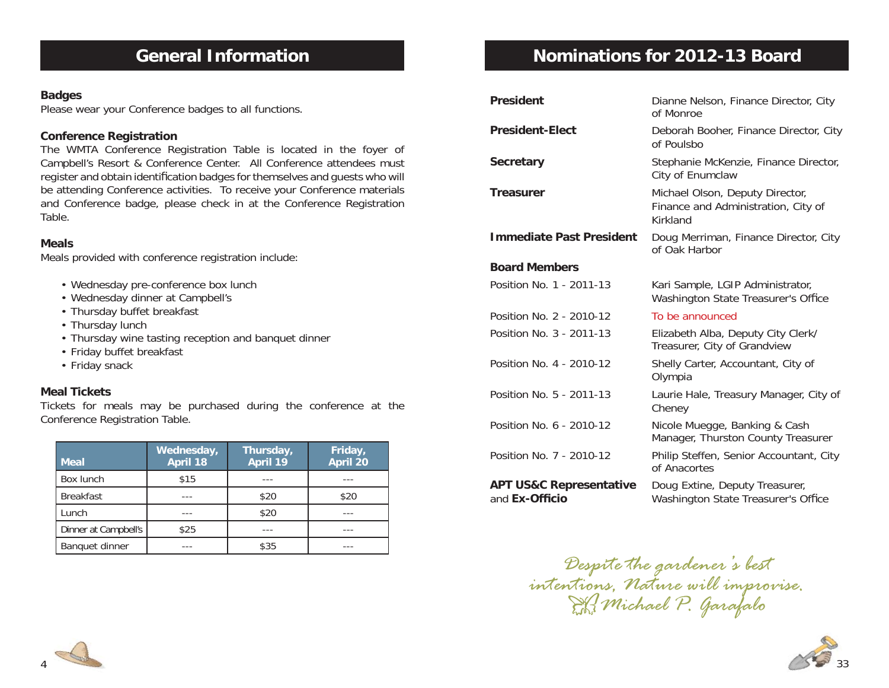# **General Information**

### **Badges**

Please wear your Conference badges to all functions.

### **Conference Registration**

The WMTA Conference Registration Table is located in the foyer of Campbell's Resort & Conference Center. All Conference attendees must register and obtain identification badges for themselves and guests who will be attending Conference activities. To receive your Conference materials and Conference badge, please check in at the Conference Registration Table.

### **Meals**

Meals provided with conference registration include:

- Wednesday pre-conference box lunch
- Wednesday dinner at Campbell's
- Thursday buffet breakfast
- Thursday lunch
- Thursday wine tasting reception and banquet dinner
- Friday buffet breakfast
- Friday snack

### **Meal Tickets**

Tickets for meals may be purchased during the conference at the Conference Registration Table.

| <b>Meal</b>          | Wednesday,<br><b>April 18</b> | Thursday,<br>April 19 | Friday,<br><b>April 20</b> |
|----------------------|-------------------------------|-----------------------|----------------------------|
| Box lunch            | \$15                          |                       |                            |
| <b>Breakfast</b>     |                               | \$20                  | \$20                       |
| Lunch                |                               | \$20                  |                            |
| Dinner at Campbell's | \$25                          |                       |                            |
| Banquet dinner       |                               | \$35                  |                            |

# **Nominations for 2012-13 Board**

| <b>President</b>                                     | Dianne Nelson, Finance Director, City<br>of Monroe                                 |
|------------------------------------------------------|------------------------------------------------------------------------------------|
| <b>President-Elect</b>                               | Deborah Booher, Finance Director, City<br>of Poulsbo                               |
| <b>Secretary</b>                                     | Stephanie McKenzie, Finance Director,<br>City of Enumclaw                          |
| <b>Treasurer</b>                                     | Michael Olson, Deputy Director,<br>Finance and Administration, City of<br>Kirkland |
| <b>Immediate Past President</b>                      | Doug Merriman, Finance Director, City<br>of Oak Harbor                             |
| <b>Board Members</b>                                 |                                                                                    |
| Position No. 1 - 2011-13                             | Kari Sample, LGIP Administrator,<br>Washington State Treasurer's Office            |
| Position No. 2 - 2010-12                             | To be announced                                                                    |
| Position No. 3 - 2011-13                             | Elizabeth Alba, Deputy City Clerk/<br>Treasurer, City of Grandview                 |
| Position No. 4 - 2010-12                             | Shelly Carter, Accountant, City of<br>Olympia                                      |
| Position No. 5 - 2011-13                             | Laurie Hale, Treasury Manager, City of<br>Cheney                                   |
| Position No. 6 - 2010-12                             | Nicole Muegge, Banking & Cash<br>Manager, Thurston County Treasurer                |
| Position No. 7 - 2010-12                             | Philip Steffen, Senior Accountant, City<br>of Anacortes                            |
| <b>APT US&amp;C Representative</b><br>and Ex-Officio | Doug Extine, Deputy Treasurer,<br>Washington State Treasurer's Office              |

*Despite the gardener's best intentions, Nature will improvise. Michael P. Garafalo*



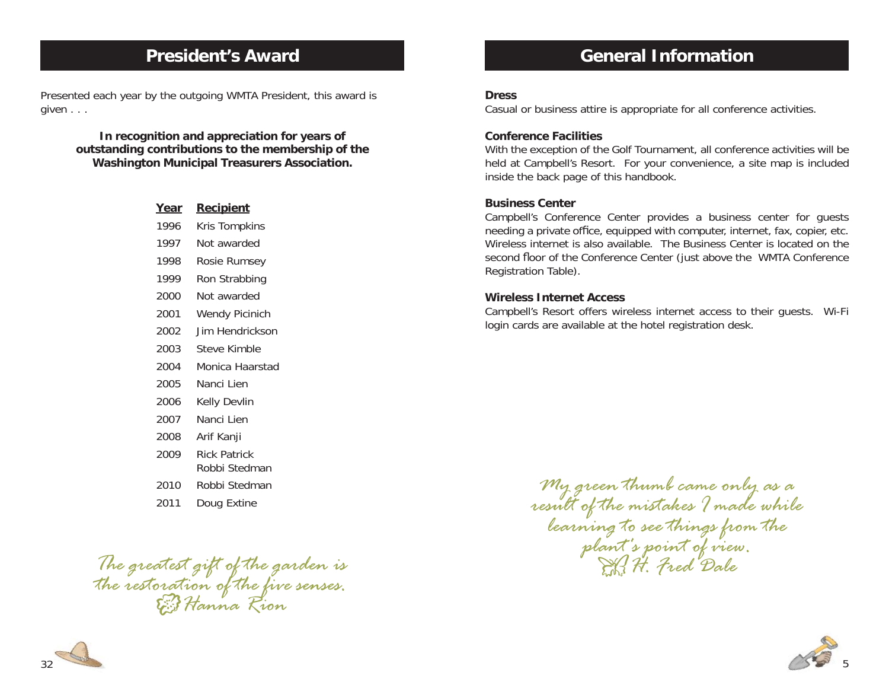# **President's Award**

Presented each year by the outgoing WMTA President, this award is given . . .

> **In recognition and appreciation for years of outstanding contributions to the membership of the Washington Municipal Treasurers Association.**

| <u>Year</u> | <u>Recipient</u>      |
|-------------|-----------------------|
| 1996        | Kris Tompkins         |
| 1997        | Not awarded           |
| 1998        | Rosie Rumsey          |
| 1999        | Ron Strabbing         |
| 2000        | Not awarded           |
| 2001        | <b>Wendy Picinich</b> |
| 2002        | Jim Hendrickson       |
| 2003        | Steve Kimble          |
| 2004        | Monica Haarstad       |
| 2005        | Nanci Lien            |
| 2006        | Kelly Devlin          |
| 2007        | Nanci Lien            |
| 2008        | Arif Kanji            |
| 2009        | <b>Rick Patrick</b>   |
|             | Robbi Stedman         |
| 2010        | Robbi Stedman         |
| 2011        | Doug Extine           |
|             |                       |

*The greatest gift of the garden is the restoration of the five senses. Hanna Rion*

# **General Information**

### **Dress**

Casual or business attire is appropriate for all conference activities.

### **Conference Facilities**

With the exception of the Golf Tournament, all conference activities will be held at Campbell's Resort. For your convenience, a site map is included inside the back page of this handbook.

### **Business Center**

Campbell's Conference Center provides a business center for guests needing a private office, equipped with computer, internet, fax, copier, etc. Wireless internet is also available. The Business Center is located on the second floor of the Conference Center (just above the WMTA Conference Registration Table).

### **Wireless Internet Access**

Campbell's Resort offers wireless internet access to their guests. Wi-Fi login cards are available at the hotel registration desk.

*My green thumb came only as a*<br>result of the mistakes I made while<br>learning to see things from the<br>plant's point of view.<br>H. Fred Dale



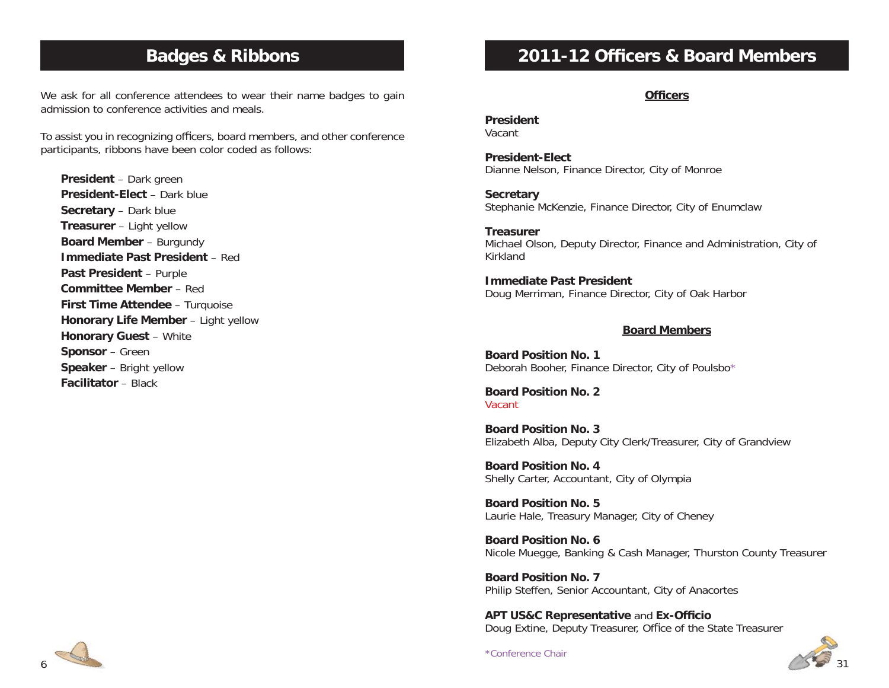# **Badges & Ribbons**

We ask for all conference attendees to wear their name badges to gain admission to conference activities and meals.

To assist you in recognizing officers, board members, and other conference participants, ribbons have been color coded as follows:

**President** – Dark green **President-Elect** – Dark blue**Secretary** – Dark blue **Treasurer** – Light yellow **Board Member** – Burgundy **Immediate Past President** – Red**Past President** – Purple **Committee Member** – Red**First Time Attendee** – Turquoise **Honorary Life Member** – Light yellow **Honorary Guest** – White **Sponsor** – Green **Speaker** – Bright yellow **Facilitator** – Black

# 6

# **2011-12 Officers & Board Members**

### **Officers**

### **President**Vacant

**President-Elect**Dianne Nelson, Finance Director, City of Monroe

**Secretary** Stephanie McKenzie, Finance Director, City of Enumclaw

**Treasurer**Michael Olson, Deputy Director, Finance and Administration, City of Kirkland

**Immediate Past President**Doug Merriman, Finance Director, City of Oak Harbor

### **Board Members**

**Board Position No. 1**Deborah Booher, Finance Director, City of Poulsbo\*

**Board Position No. 2**Vacant

**Board Position No. 3**Elizabeth Alba, Deputy City Clerk/Treasurer, City of Grandview

**Board Position No. 4**Shelly Carter, Accountant, City of Olympia

**Board Position No. 5**Laurie Hale, Treasury Manager, City of Cheney

**Board Position No. 6**Nicole Muegge, Banking & Cash Manager, Thurston County Treasurer

**Board Position No. 7**Philip Steffen, Senior Accountant, City of Anacortes

**APT US&C Representative and Ex-Officio** Doug Extine, Deputy Treasurer, Office of the State Treasurer

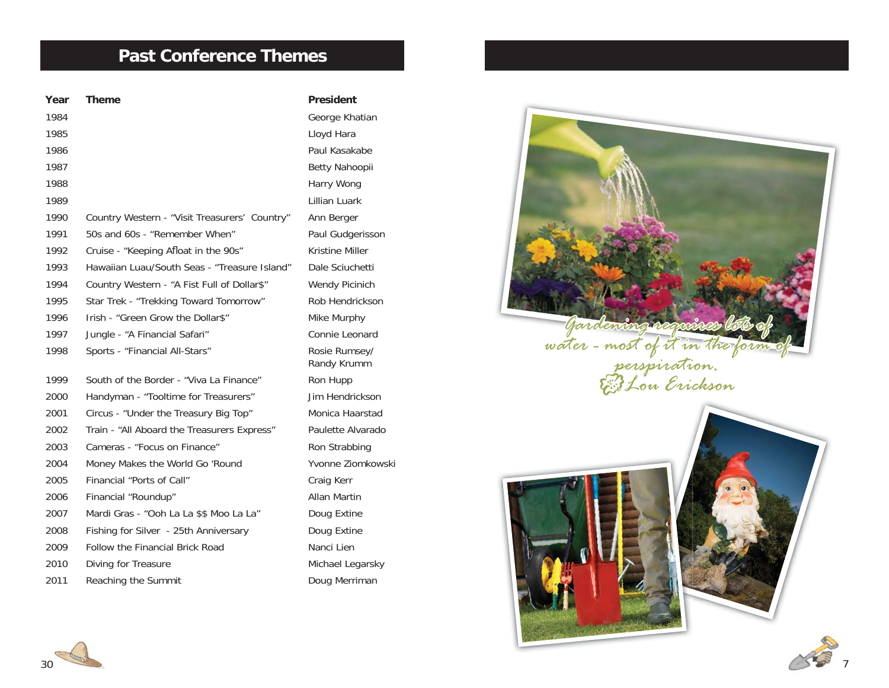# **Past Conference Themes**

| Year | <b>Theme</b>                                  | <b>President</b>             |
|------|-----------------------------------------------|------------------------------|
| 1984 |                                               | George Khatian               |
| 1985 |                                               | Lloyd Hara                   |
| 1986 |                                               | Paul Kasakabe                |
| 1987 |                                               | Betty Nahoopii               |
| 1988 |                                               | Harry Wong                   |
| 1989 |                                               | Lillian Luark                |
| 1990 | Country Western - "Visit Treasurers' Country" | Ann Berger                   |
| 1991 | 50s and 60s - "Remember When"                 | Paul Gudgerissc              |
| 1992 | Cruise - "Keeping Afloat in the 90s"          | Kristine Miller              |
| 1993 | Hawaiian Luau/South Seas - "Treasure Island"  | Dale Sciuchetti              |
| 1994 | Country Western - "A Fist Full of Dollar\$"   | Wendy Picinich               |
| 1995 | Star Trek - "Trekking Toward Tomorrow"        | Rob Hendrickso               |
| 1996 | Irish - "Green Grow the Dollar\$"             | Mike Murphy                  |
| 1997 | Jungle - "A Financial Safari"                 | Connie Leonard               |
| 1998 | Sports - "Financial All-Stars"                | Rosie Rumsey/<br>Randy Krumm |
| 1999 | South of the Border - "Viva La Finance"       | Ron Hupp                     |
| 2000 | Handyman - "Tooltime for Treasurers"          | Jim Hendricksor              |
| 2001 | Circus - "Under the Treasury Big Top"         | Monica Haarsta               |
| 2002 | Train - "All Aboard the Treasurers Express"   | Paulette Alvarad             |
| 2003 | Cameras - "Focus on Finance"                  | Ron Strabbing                |
| 2004 | Money Makes the World Go 'Round               | Yvonne Ziomko                |
| 2005 | Financial "Ports of Call"                     | Craig Kerr                   |
| 2006 | Financial "Roundup"                           | Allan Martin                 |
| 2007 | Mardi Gras - "Ooh La La \$\$ Moo La La"       | Doug Extine                  |
| 2008 | Fishing for Silver - 25th Anniversary         | Doug Extine                  |
| 2009 | <b>Follow the Financial Brick Road</b>        | Nanci Lien                   |
| 2010 | Diving for Treasure                           | Michael Legarsk              |
| 2011 | Reaching the Summit                           | Doug Merriman                |

sakabe dgerisson iuchetti ndrickson umsey/ Randy Krumm ndrickson Haarstad : Alvarado Ziomkowski ien Legarsky



7



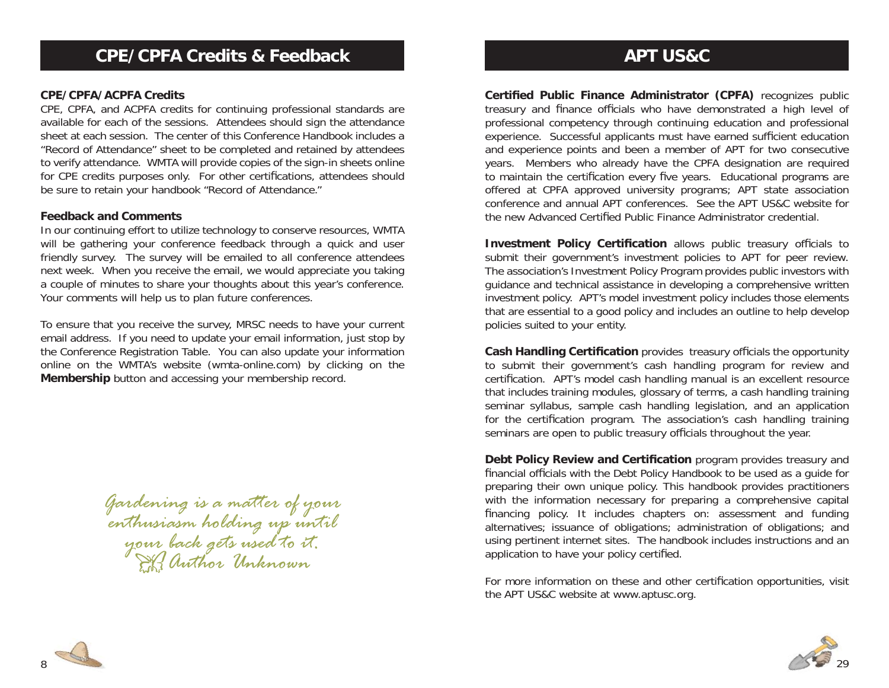### **CPE/CPFA/ACPFA Credits**

CPE, CPFA, and ACPFA credits for continuing professional standards are available for each of the sessions. Attendees should sign the attendance sheet at each session. The center of this Conference Handbook includes a "Record of Attendance" sheet to be completed and retained by attendees to verify attendance. WMTA will provide copies of the sign-in sheets online for CPE credits purposes only. For other certifications, attendees should be sure to retain your handbook "Record of Attendance."

### **Feedback and Comments**

In our continuing effort to utilize technology to conserve resources, WMTA will be gathering your conference feedback through a quick and user friendly survey. The survey will be emailed to all conference attendees next week. When you receive the email, we would appreciate you taking a couple of minutes to share your thoughts about this year's conference. Your comments will help us to plan future conferences.

To ensure that you receive the survey, MRSC needs to have your current email address. If you need to update your email information, just stop by the Conference Registration Table. You can also update your information online on the WMTA's website (wmta-online.com) by clicking on the **Membership** button and accessing your membership record.

*Gardening is a matter of your enthusiasm holding up until your back gets used to it. Author Unknown*

# **APT US&C**

**Certified Public Finance Administrator (CPFA)** recognizes public treasury and finance officials who have demonstrated a high level of professional competency through continuing education and professional experience. Successful applicants must have earned sufficient education and experience points and been a member of APT for two consecutive years. Members who already have the CPFA designation are required to maintain the certification every five years. Educational programs are offered at CPFA approved university programs; APT state association conference and annual APT conferences. See the APT US&C website for the new Advanced Certified Public Finance Administrator credential.

**Investment Policy Certification** allows public treasury officials to submit their government's investment policies to APT for peer review. The association's Investment Policy Program provides public investors with guidance and technical assistance in developing a comprehensive written investment policy. APT's model investment policy includes those elements that are essential to a good policy and includes an outline to help develop policies suited to your entity.

**Cash Handling Certification** provides treasury officials the opportunity to submit their government's cash handling program for review and certification. APT's model cash handling manual is an excellent resource that includes training modules, glossary of terms, a cash handling training seminar syllabus, sample cash handling legislation, and an application for the certification program. The association's cash handling training seminars are open to public treasury officials throughout the year.

**Debt Policy Review and Certification** program provides treasury and financial officials with the Debt Policy Handbook to be used as a quide for preparing their own unique policy. This handbook provides practitioners with the information necessary for preparing a comprehensive capital financing policy. It includes chapters on: assessment and funding alternatives; issuance of obligations; administration of obligations; and using pertinent internet sites. The handbook includes instructions and an application to have your policy certified.

For more information on these and other certification opportunities, visit the APT US&C website at www.aptusc.org.



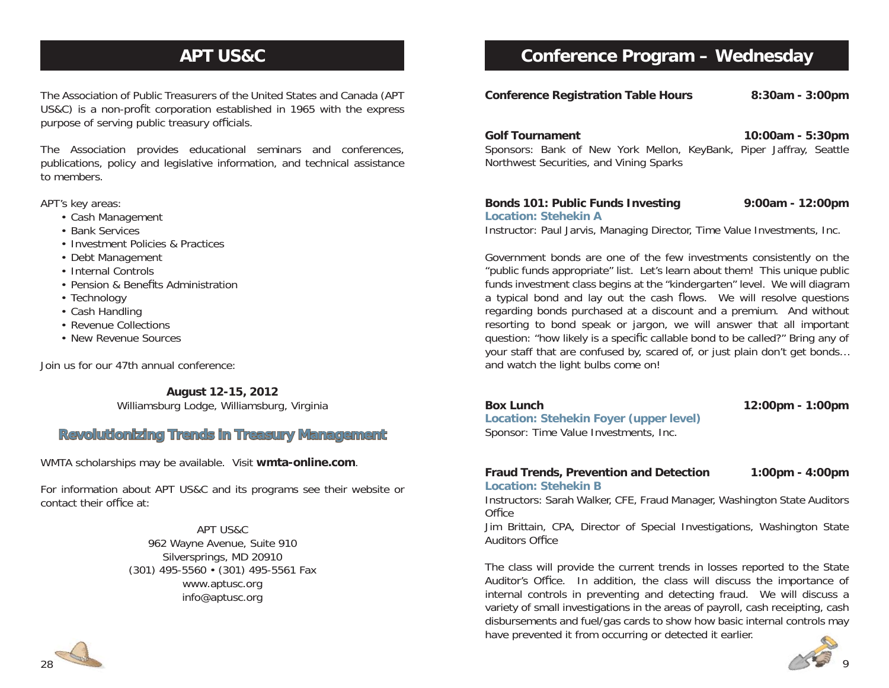# **APT US&C**

The Association of Public Treasurers of the United States and Canada (APT US&C) is a non-profit corporation established in 1965 with the express purpose of serving public treasury officials.

The Association provides educational seminars and conferences, publications, policy and legislative information, and technical assistance to members.

APT's key areas:

- Cash Management
- Bank Services
- Investment Policies & Practices
- Debt Management
- Internal Controls
	- Pension & Benefits Administration
	- Technology
	- Cash Handling
	- Revenue Collections
	- New Revenue Sources

Join us for our 47th annual conference:

**August 12-15, 2012**

Williamsburg Lodge, Williamsburg, Virginia

### **Revolutionizing Trends in Treasury Management evolutionizing**

WMTA scholarships may be available. Visit **wmta-online.com**.

For information about APT US&C and its programs see their website or contact their office at:

> APT US&C962 Wayne Avenue, Suite 910 Silversprings, MD 20910 (301) 495-5560 • (301) 495-5561 Fax www.aptusc.org info@aptusc.org

# **Conference Program – Wednesday**

**Conference Registration Table Hours 8:30am - 3:00pm**

**Golf Tournament 10:00am - 5:30pm** Sponsors: Bank of New York Mellon, KeyBank, Piper Jaffray, Seattle Northwest Securities, and Vining Sparks

### **Bonds 101: Public Funds Investing 9:00am - 12:00pm Location: Stehekin A**

Instructor: Paul Jarvis, Managing Director, Time Value Investments, Inc.

Government bonds are one of the few investments consistently on the "public funds appropriate" list. Let's learn about them! This unique public funds investment class begins at the "kindergarten" level. We will diagram a typical bond and lay out the cash flows. We will resolve questions regarding bonds purchased at a discount and a premium. And without resorting to bond speak or jargon, we will answer that all important question: "how likely is a specific callable bond to be called?" Bring any of your staff that are confused by, scared of, or just plain don't get bonds… and watch the light bulbs come on!

**Box Lunch 12:00pm - 1:00pm**

**Location: Stehekin Foyer (upper level)** Sponsor: Time Value Investments, Inc.

### **Fraud Trends, Prevention and Detection 1:00pm - 4:00pm Location: Stehekin B**

Instructors: Sarah Walker, CFE, Fraud Manager, Washington State Auditors Office

Jim Brittain, CPA, Director of Special Investigations, Washington State **Auditors Office** 

The class will provide the current trends in losses reported to the State Auditor's Office. In addition, the class will discuss the importance of internal controls in preventing and detecting fraud. We will discuss a variety of small investigations in the areas of payroll, cash receipting, cash disbursements and fuel/gas cards to show how basic internal controls may have prevented it from occurring or detected it earlier.



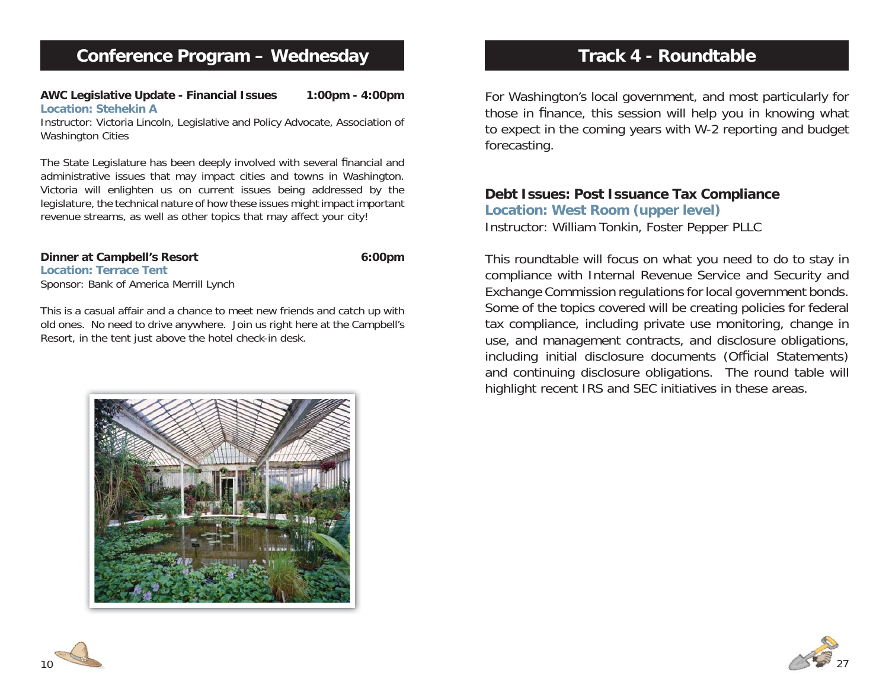**AWC Legislative Update - Financial Issues 1:00pm - 4:00pm Location: Stehekin A**

Instructor: Victoria Lincoln, Legislative and Policy Advocate, Association of Washington Cities

The State Legislature has been deeply involved with several financial and administrative issues that may impact cities and towns in Washington. Victoria will enlighten us on current issues being addressed by the legislature, the technical nature of how these issues might impact important revenue streams, as well as other topics that may affect your city!

**Location: Terrace Tent**Sponsor: Bank of America Merrill Lynch

This is a casual affair and a chance to meet new friends and catch up with old ones. No need to drive anywhere. Join us right here at the Campbell's Resort, in the tent just above the hotel check-in desk.

# **Dinner at Campbell's Resort 6:00pm**



For Washington's local government, and most particularly for those in finance, this session will help you in knowing what to expect in the coming years with W-2 reporting and budget forecasting.

### **Debt Issues: Post Issuance Tax Compliance**

**Location: West Room (upper level)** Instructor: William Tonkin, Foster Pepper PLLC

This roundtable will focus on what you need to do to stay in compliance with Internal Revenue Service and Security and Exchange Commission regulations for local government bonds. Some of the topics covered will be creating policies for federal tax compliance, including private use monitoring, change in use, and management contracts, and disclosure obligations, including initial disclosure documents (Official Statements) and continuing disclosure obligations. The round table will highlight recent IRS and SEC initiatives in these areas.



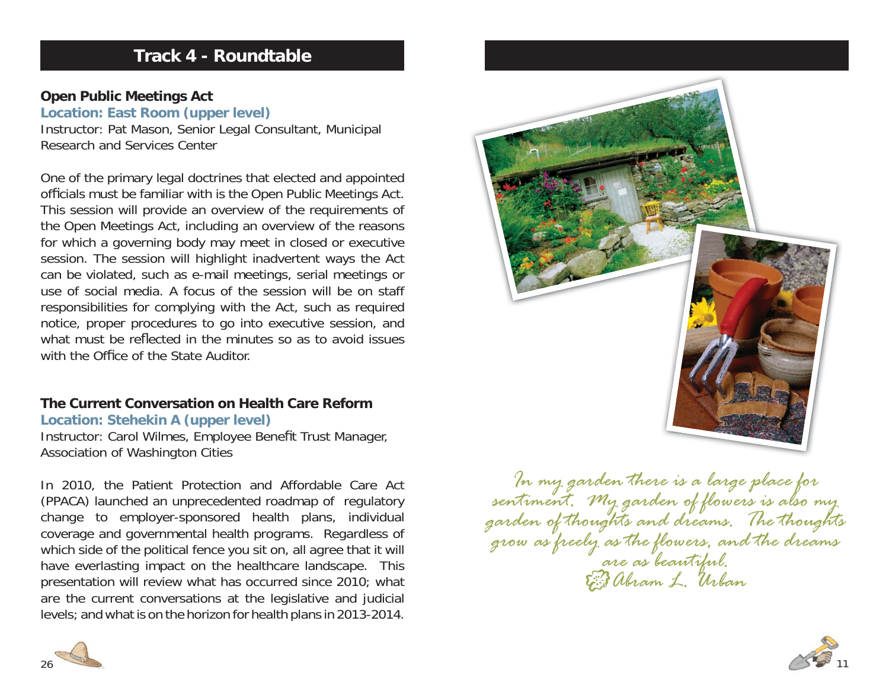# **Track 4 - Roundtable**

### **Open Public Meetings Act**

**Location: East Room (upper level)** Instructor: Pat Mason, Senior Legal Consultant, Municipal Research and Services Center

One of the primary legal doctrines that elected and appointed officials must be familiar with is the Open Public Meetings Act. This session will provide an overview of the requirements of the Open Meetings Act, including an overview of the reasons for which a governing body may meet in closed or executive session. The session will highlight inadvertent ways the Act can be violated, such as e-mail meetings, serial meetings or use of social media. A focus of the session will be on staff responsibilities for complying with the Act, such as required notice, proper procedures to go into executive session, and what must be reflected in the minutes so as to avoid issues with the Office of the State Auditor

# **The Current Conversation on Health Care Reform**

### **Location: Stehekin A (upper level)**

Instructor: Carol Wilmes, Employee Benefit Trust Manager, Association of Washington Cities

In 2010, the Patient Protection and Affordable Care Act (PPACA) launched an unprecedented roadmap of regulatory change to employer-sponsored health plans, individual coverage and governmental health programs. Regardless of which side of the political fence you sit on, all agree that it will have everlasting impact on the healthcare landscape. This presentation will review what has occurred since 2010; what are the current conversations at the legislative and judicial levels; and what is on the horizon for health plans in 2013-2014.



*In my garden there is a large place for sentiment. My garden of flowers is also my garden of thoughts and dreams. The thoughts grow as freely as the flowers, and the dreams are as beautiful. Abram L. Urban*



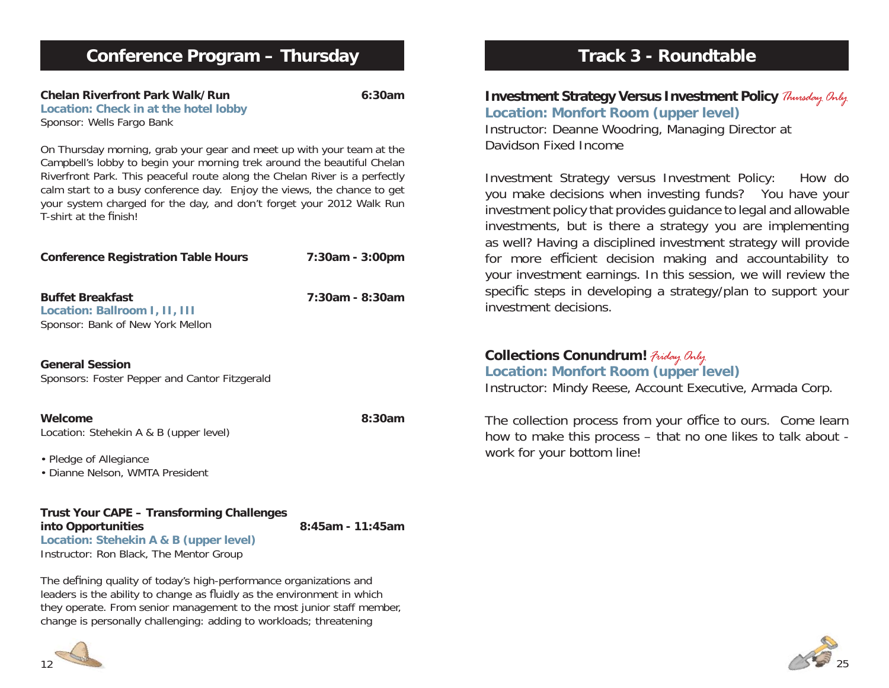| <b>Conference Program - Thursday</b>                                                                                                                                                                                                                                                                                                                                                                        |                  |
|-------------------------------------------------------------------------------------------------------------------------------------------------------------------------------------------------------------------------------------------------------------------------------------------------------------------------------------------------------------------------------------------------------------|------------------|
| <b>Chelan Riverfront Park Walk/Run</b><br>Location: Check in at the hotel lobby<br>Sponsor: Wells Fargo Bank                                                                                                                                                                                                                                                                                                | 6:30am           |
| On Thursday morning, grab your gear and meet up with your team at the<br>Campbell's lobby to begin your morning trek around the beautiful Chelan<br>Riverfront Park. This peaceful route along the Chelan River is a perfectly<br>calm start to a busy conference day. Enjoy the views, the chance to get<br>your system charged for the day, and don't forget your 2012 Walk Run<br>T-shirt at the finish! |                  |
| <b>Conference Registration Table Hours</b>                                                                                                                                                                                                                                                                                                                                                                  | 7:30am - 3:00pm  |
| <b>Buffet Breakfast</b><br>Location: Ballroom I, II, III<br>Sponsor: Bank of New York Mellon                                                                                                                                                                                                                                                                                                                | 7:30am - 8:30am  |
| <b>General Session</b><br>Sponsors: Foster Pepper and Cantor Fitzgerald                                                                                                                                                                                                                                                                                                                                     |                  |
| Welcome<br>Location: Stehekin A & B (upper level)                                                                                                                                                                                                                                                                                                                                                           | 8:30am           |
| • Pledge of Allegiance<br>· Dianne Nelson, WMTA President                                                                                                                                                                                                                                                                                                                                                   |                  |
| <b>Trust Your CAPE - Transforming Challenges</b><br>into Opportunities<br>Location: Stehekin A & B (upper level)<br>Instructor: Ron Black, The Mentor Group                                                                                                                                                                                                                                                 | 8:45am - 11:45am |

The defining quality of today's high-performance organizations and leaders is the ability to change as fluidly as the environment in which they operate. From senior management to the most junior staff member, change is personally challenging: adding to workloads; threatening

# **Track 3 - Roundtable**

# **Investment Strategy Versus Investment Policy** *Thursday Only* **Location: Monfort Room (upper level)**

Instructor: Deanne Woodring, Managing Director at Davidson Fixed Income

Investment Strategy versus Investment Policy: How do you make decisions when investing funds? You have your investment policy that provides guidance to legal and allowable investments, but is there a strategy you are implementing as well? Having a disciplined investment strategy will provide for more efficient decision making and accountability to your investment earnings. In this session, we will review the specific steps in developing a strategy/plan to support your investment decisions.

# **Collections Conundrum!** *Friday Only*

**Location: Monfort Room (upper level)** Instructor: Mindy Reese, Account Executive, Armada Corp.

The collection process from your office to ours. Come learn how to make this process – that no one likes to talk about work for your bottom line!

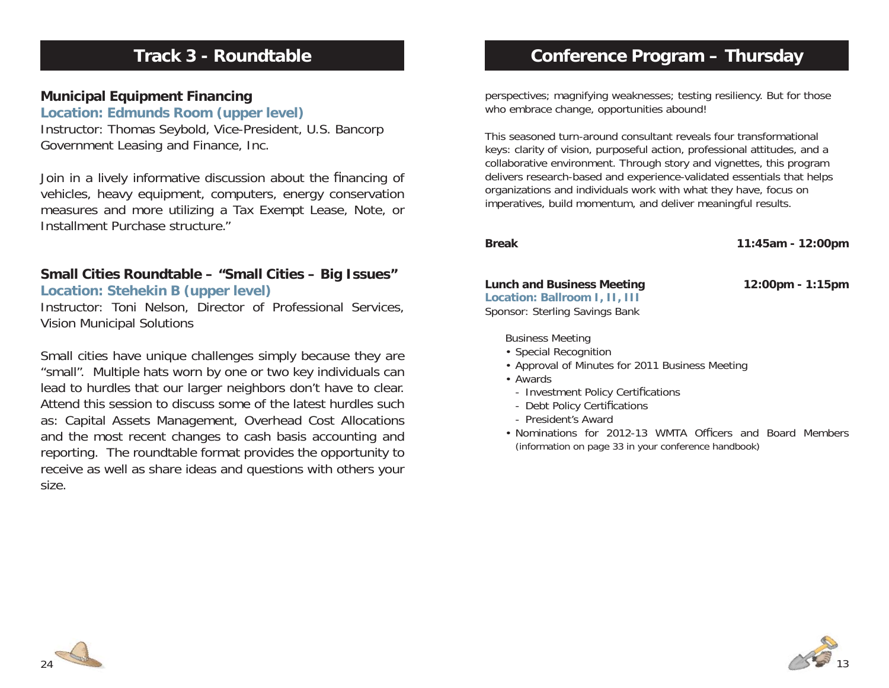# **Track 3 - Roundtable**

### **Municipal Equipment Financing**

**Location: Edmunds Room (upper level)** Instructor: Thomas Seybold, Vice-President, U.S. Bancorp Government Leasing and Finance, Inc.

Join in a lively informative discussion about the financing of vehicles, heavy equipment, computers, energy conservation measures and more utilizing a Tax Exempt Lease, Note, or Installment Purchase structure."

# **Small Cities Roundtable – "Small Cities – Big Issues"**

### **Location: Stehekin B (upper level)**

Instructor: Toni Nelson, Director of Professional Services, Vision Municipal Solutions

Small cities have unique challenges simply because they are "small". Multiple hats worn by one or two key individuals can lead to hurdles that our larger neighbors don't have to clear. Attend this session to discuss some of the latest hurdles such as: Capital Assets Management, Overhead Cost Allocations and the most recent changes to cash basis accounting and reporting. The roundtable format provides the opportunity to receive as well as share ideas and questions with others your size.

# **Conference Program – Thursday**

perspectives; magnifying weaknesses; testing resiliency. But for those who embrace change, opportunities abound!

This seasoned turn-around consultant reveals four transformational keys: clarity of vision, purposeful action, professional attitudes, and a collaborative environment. Through story and vignettes, this program delivers research-based and experience-validated essentials that helps organizations and individuals work with what they have, focus on imperatives, build momentum, and deliver meaningful results.

**Break 11:45am - 12:00pm**

### **Lunch and Business Meeting 12:00pm - 1:15pm**

**Location: Ballroom I, II, III** Sponsor: Sterling Savings Bank

### Business Meeting

- Special Recognition
- Approval of Minutes for 2011 Business Meeting
- Awards
	- Investment Policy Certifications
	- Debt Policy Certifications
	- President's Award
- Nominations for 2012-13 WMTA Officers and Board Members (information on page 33 in your conference handbook)



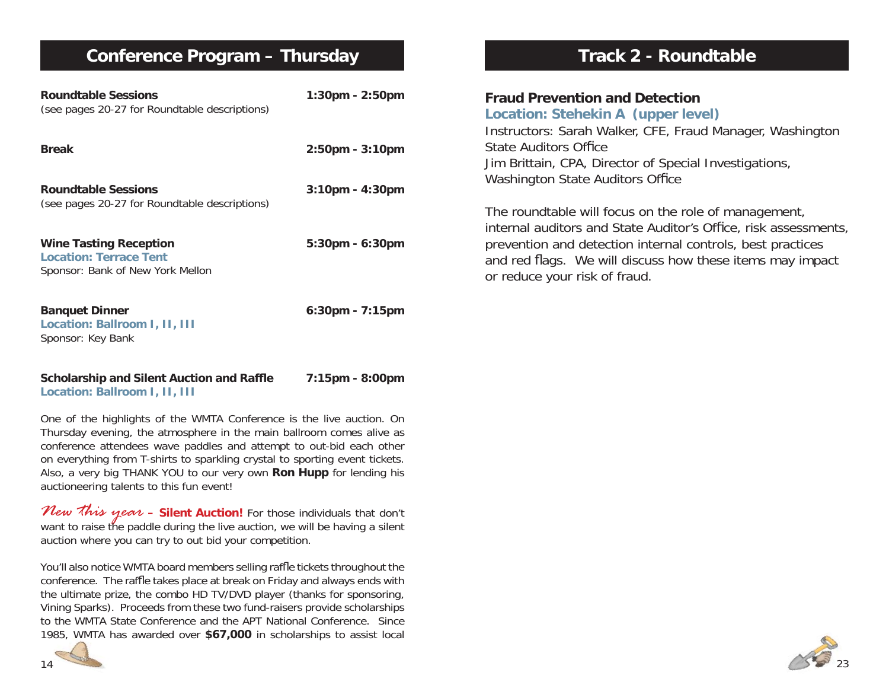# **Conference Program – Thursday**

| <b>Roundtable Sessions</b><br>(see pages 20-27 for Roundtable descriptions)                        | $1:30$ pm - $2:50$ pm |
|----------------------------------------------------------------------------------------------------|-----------------------|
| Break                                                                                              | $2:50$ pm - $3:10$ pm |
| <b>Roundtable Sessions</b><br>(see pages 20-27 for Roundtable descriptions)                        | $3:10$ pm - $4:30$ pm |
| <b>Wine Tasting Reception</b><br><b>Location: Terrace Tent</b><br>Sponsor: Bank of New York Mellon | 5:30pm - 6:30pm       |
| <b>Banquet Dinner</b><br>Location: Ballroom I, II, III<br>Sponsor: Key Bank                        | $6:30$ pm - 7:15pm    |
| Scholarshin and Silent Auction and Raffle                                                          | $7.15$ nm - $8.00$ nm |

### **Scholarship and Silent Auction and Raffle Location: Ballroom I, II, III**

One of the highlights of the WMTA Conference is the live auction. On Thursday evening, the atmosphere in the main ballroom comes alive as conference attendees wave paddles and attempt to out-bid each other on everything from T-shirts to sparkling crystal to sporting event tickets. Also, a very big THANK YOU to our very own **Ron Hupp** for lending his auctioneering talents to this fun event!

*New this year* **– Silent Auction!** For those individuals that don't want to raise the paddle during the live auction, we will be having a silent auction where you can try to out bid your competition.

You'll also notice WMTA board members selling raffle tickets throughout the conference. The raffle takes place at break on Friday and always ends with the ultimate prize, the combo HD TV/DVD player (thanks for sponsoring, Vining Sparks). Proceeds from these two fund-raisers provide scholarships to the WMTA State Conference and the APT National Conference. Since 1985, WMTA has awarded over **\$67,000** in scholarships to assist local



# **Track 2 - Roundtable**

### **Fraud Prevention and DetectionLocation: Stehekin A (upper level)**

Instructors: Sarah Walker, CFE, Fraud Manager, Washington State Auditors Office Jim Brittain, CPA, Director of Special Investigations, Washington State Auditors Office

The roundtable will focus on the role of management, internal auditors and State Auditor's Office, risk assessments, prevention and detection internal controls, best practices and red flags. We will discuss how these items may impact or reduce your risk of fraud.

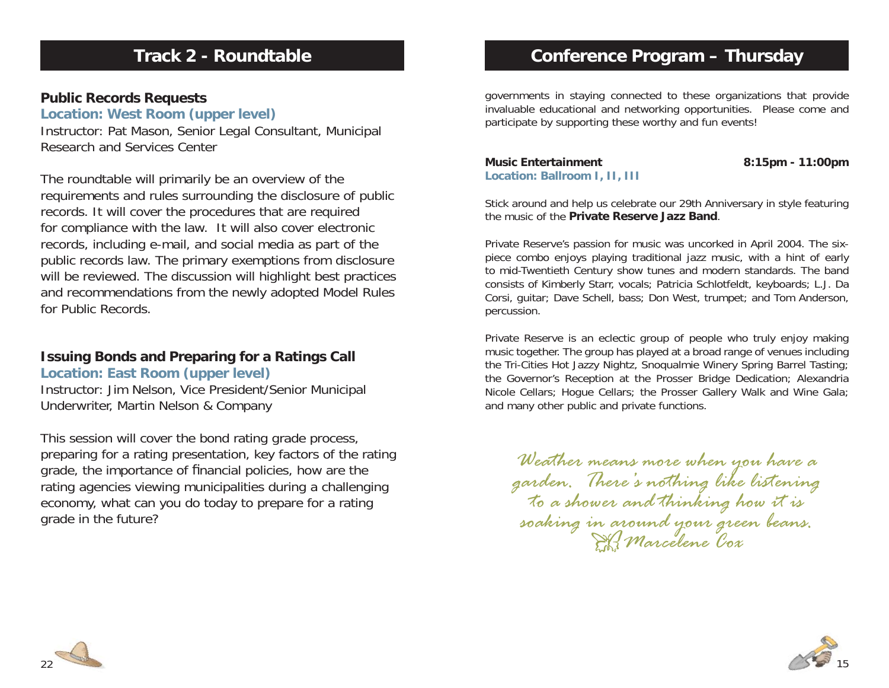# **Track 2 - Roundtable**

### **Public Records Requests**

**Location: West Room (upper level)**

Instructor: Pat Mason, Senior Legal Consultant, Municipal Research and Services Center

The roundtable will primarily be an overview of the requirements and rules surrounding the disclosure of public records. It will cover the procedures that are required for compliance with the law. It will also cover electronic records, including e-mail, and social media as part of the public records law. The primary exemptions from disclosure will be reviewed. The discussion will highlight best practices and recommendations from the newly adopted Model Rules for Public Records.

# **Issuing Bonds and Preparing for a Ratings Call**

**Location: East Room (upper level)**

Instructor: Jim Nelson, Vice President/Senior Municipal Underwriter, Martin Nelson & Company

This session will cover the bond rating grade process, preparing for a rating presentation, key factors of the rating grade, the importance of financial policies, how are the rating agencies viewing municipalities during a challenging economy, what can you do today to prepare for a rating grade in the future?

# **Conference Program – Thursday**

governments in staying connected to these organizations that provide invaluable educational and networking opportunities. Please come and participate by supporting these worthy and fun events!

**Music Entertainment 8:15pm - 11:00pm Location: Ballroom I, II, III**

Stick around and help us celebrate our 29th Anniversary in style featuring the music of the **Private Reserve Jazz Band**.

Private Reserve's passion for music was uncorked in April 2004. The sixpiece combo enjoys playing traditional jazz music, with a hint of early to mid-Twentieth Century show tunes and modern standards. The band consists of Kimberly Starr, vocals; Patricia Schlotfeldt, keyboards; L.J. Da Corsi, guitar; Dave Schell, bass; Don West, trumpet; and Tom Anderson, percussion.

Private Reserve is an eclectic group of people who truly enjoy making music together. The group has played at a broad range of venues including the Tri-Cities Hot Jazzy Nightz, Snoqualmie Winery Spring Barrel Tasting; the Governor's Reception at the Prosser Bridge Dedication; Alexandria Nicole Cellars; Hogue Cellars; the Prosser Gallery Walk and Wine Gala; and many other public and private functions.

*Weather means more when you have a garden. There's nothing like listening to a shower and thinking how it is* soaking in around your green beans.



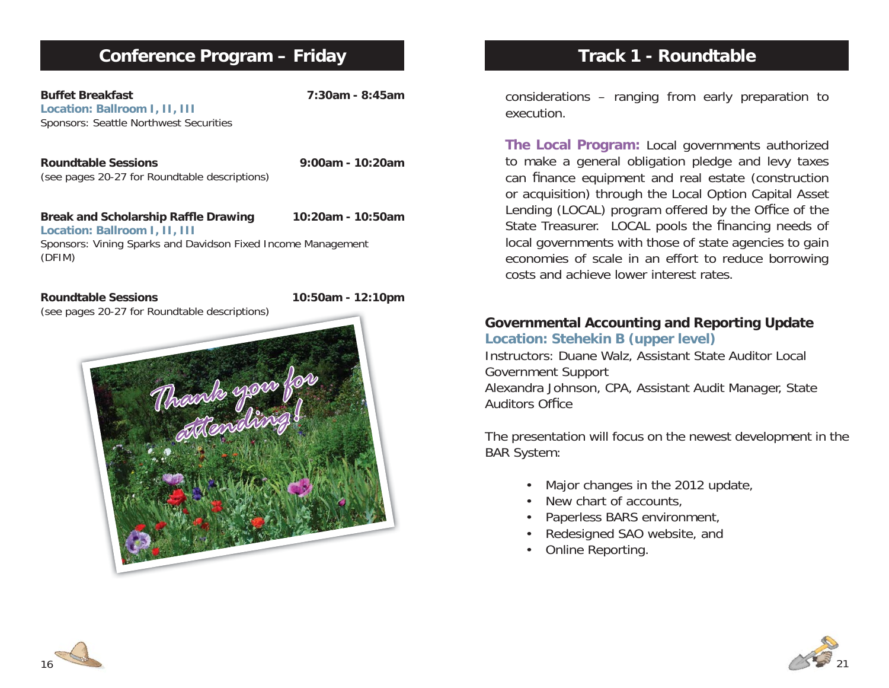# **Conference Program – Friday**

**Buffet Breakfast 7:30am - 8:45amLocation: Ballroom I, II, III** Sponsors: Seattle Northwest Securities

**Roundtable Sessions 9:00am - 10:20am**(see pages 20-27 for Roundtable descriptions)

Break and Scholarship Raffle Drawing 10:20am - 10:50am **Location: Ballroom I, II, III** Sponsors: Vining Sparks and Davidson Fixed Income Management (DFIM)

**Roundtable Sessions 10:50am - 12:10pm**



# **Track 1 - Roundtable**

considerations – ranging from early preparation to execution.

**The Local Program:** Local governments authorized to make a general obligation pledge and levy taxes can finance equipment and real estate (construction or acquisition) through the Local Option Capital Asset Lending (LOCAL) program offered by the Office of the State Treasurer. LOCAL pools the financing needs of local governments with those of state agencies to gain economies of scale in an effort to reduce borrowing costs and achieve lower interest rates.

### **Governmental Accounting and Reporting Update Location: Stehekin B (upper level)**

Instructors: Duane Walz, Assistant State Auditor Local Government Support Alexandra Johnson, CPA, Assistant Audit Manager, State Auditors Office

The presentation will focus on the newest development in the BAR System:

- Major changes in the 2012 update,
- New chart of accounts,
- Paperless BARS environment,
- Redesigned SAO website, and
- Online Reporting.



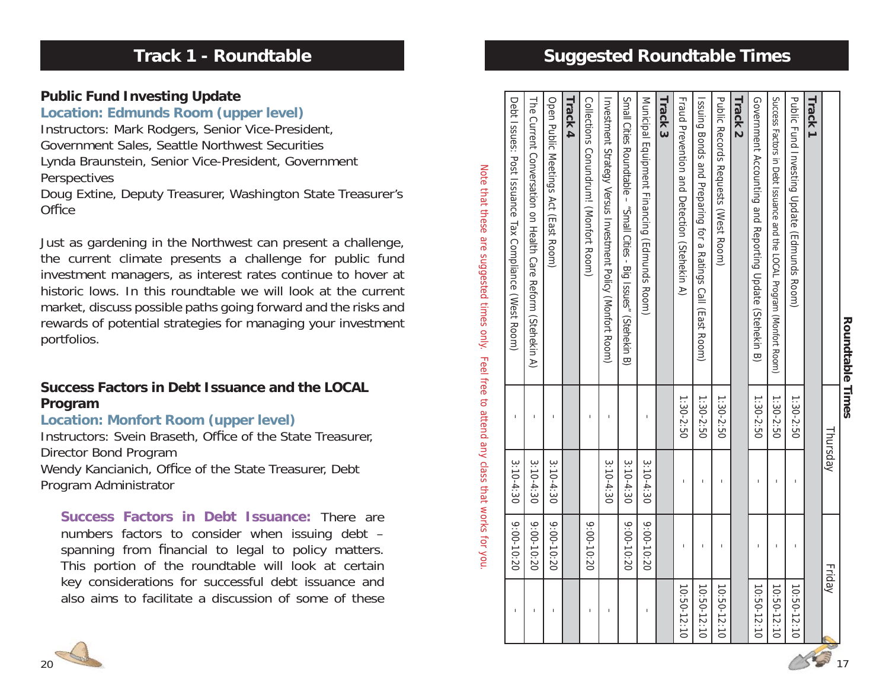|                                                                                                                                                                                                                                    |         | Roundrable limes |
|------------------------------------------------------------------------------------------------------------------------------------------------------------------------------------------------------------------------------------|---------|------------------|
| י<br>יוני הוא הייתו הוא הייתה הוא הייתה הוא הייתה הוא הייתה הוא הייתה הוא הייתה הוא הייתה הוא הייתה הוא הייתה הוא ה<br>ייתה הוא הייתה הוא הייתה הוא הייתה הוא הייתה הוא הייתה הוא הייתה הוא הייתה הוא הייתה הוא הייתה הוא הייתה הו | hursda\ |                  |
| ֖֖֖֚֚֚֚֚֬                                                                                                                                                                                                                          | Frida\  |                  |

| <b>Suggested Roundtable</b><br><b>imes</b><br>П | Track 3<br>Government Accounting<br>Success Factors in Debt Issuan<br>Track 2 |
|-------------------------------------------------|-------------------------------------------------------------------------------|
|                                                 | <b>Public Records Requests</b><br>Issuing Bonds and Prepar                    |
|                                                 | <b>Fraud Prevention and Det</b>                                               |
|                                                 | Municipal Equipment Fina                                                      |
|                                                 | <b>Symbiol Cities Roundrable</b>                                              |
|                                                 | Investment Strategy Versu                                                     |
|                                                 | Collections Conundrum! (                                                      |
|                                                 | <b>Track 4</b>                                                                |
|                                                 | Open Public Meetings Act                                                      |

# **Track 1 - Roundtable**

# **Public Fund Investing Update**

### **Location: Edmunds Room (upper level)**

Instructors: Mark Rodgers, Senior Vice-President, Government Sales, Seattle Northwest Securities Lynda Braunstein, Senior Vice-President, Government Perspectives

Doug Extine, Deputy Treasurer, Washington State Treasurer's **Office** 

Just as gardening in the Northwest can present a challenge, the current climate presents a challenge for public fund investment managers, as interest rates continue to hover at historic lows. In this roundtable we will look at the current market, discuss possible paths going forward and the risks and rewards of potential strategies for managing your investment portfolios.

# **Success Factors in Debt Issuance and the LOCAL Program**

# **Location: Monfort Room (upper level)**

Instructors: Svein Braseth, Office of the State Treasurer, Director Bond Program Wendy Kancianich, Office of the State Treasurer, Debt Program Administrator

**Success Factors in Debt Issuance:** There are numbers factors to consider when issuing debt – spanning from fi nancial to legal to policy matters. This portion of the roundtable will look at certain key considerations for successful debt issuance and also aims to facilitate a discussion of some of these



Note that these are suggested times only. Feel free to attend any class that works for you.

Note that these are suggested times only. Feel free to attend any class that works for you